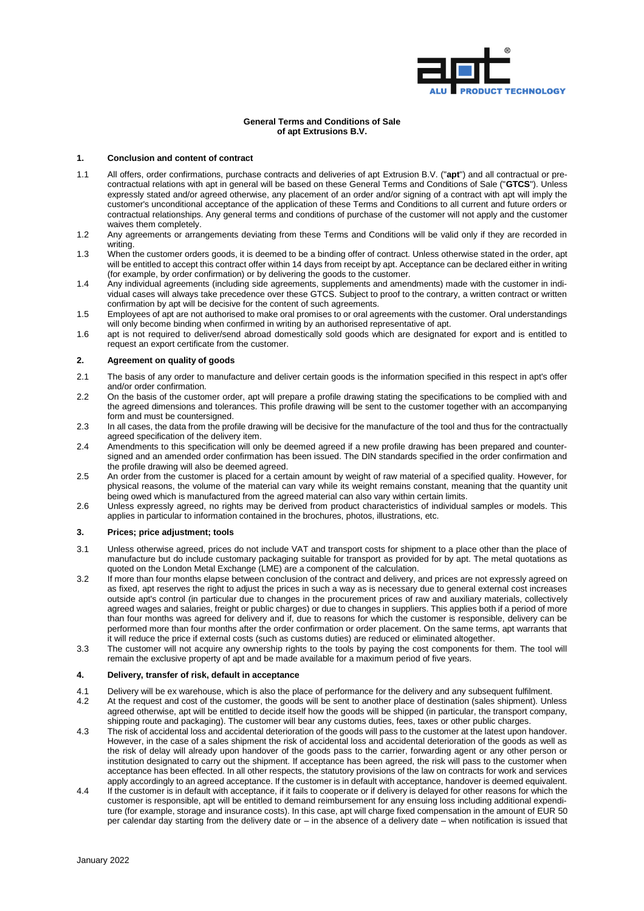

### **General Terms and Conditions of Sale of apt Extrusions B.V.**

### **1. Conclusion and content of contract**

- 1.1 All offers, order confirmations, purchase contracts and deliveries of apt Extrusion B.V. ("**apt**") and all contractual or precontractual relations with apt in general will be based on these General Terms and Conditions of Sale ("**GTCS**"). Unless expressly stated and/or agreed otherwise, any placement of an order and/or signing of a contract with apt will imply the customer's unconditional acceptance of the application of these Terms and Conditions to all current and future orders or contractual relationships. Any general terms and conditions of purchase of the customer will not apply and the customer waives them completely.
- 1.2 Any agreements or arrangements deviating from these Terms and Conditions will be valid only if they are recorded in writing.
- 1.3 When the customer orders goods, it is deemed to be a binding offer of contract. Unless otherwise stated in the order, apt will be entitled to accept this contract offer within 14 days from receipt by apt. Acceptance can be declared either in writing (for example, by order confirmation) or by delivering the goods to the customer.
- 1.4 Any individual agreements (including side agreements, supplements and amendments) made with the customer in individual cases will always take precedence over these GTCS. Subject to proof to the contrary, a written contract or written confirmation by apt will be decisive for the content of such agreements.
- 1.5 Employees of apt are not authorised to make oral promises to or oral agreements with the customer. Oral understandings will only become binding when confirmed in writing by an authorised representative of apt.
- 1.6 apt is not required to deliver/send abroad domestically sold goods which are designated for export and is entitled to request an export certificate from the customer.

#### <span id="page-0-0"></span>**2. Agreement on quality of goods**

- 2.1 The basis of any order to manufacture and deliver certain goods is the information specified in this respect in apt's offer and/or order confirmation.
- 2.2 On the basis of the customer order, apt will prepare a profile drawing stating the specifications to be complied with and the agreed dimensions and tolerances. This profile drawing will be sent to the customer together with an accompanying form and must be countersigned.
- 2.3 In all cases, the data from the profile drawing will be decisive for the manufacture of the tool and thus for the contractually agreed specification of the delivery item.
- 2.4 Amendments to this specification will only be deemed agreed if a new profile drawing has been prepared and countersigned and an amended order confirmation has been issued. The DIN standards specified in the order confirmation and the profile drawing will also be deemed agreed.
- 2.5 An order from the customer is placed for a certain amount by weight of raw material of a specified quality. However, for physical reasons, the volume of the material can vary while its weight remains constant, meaning that the quantity unit being owed which is manufactured from the agreed material can also vary within certain limits.
- 2.6 Unless expressly agreed, no rights may be derived from product characteristics of individual samples or models. This applies in particular to information contained in the brochures, photos, illustrations, etc.

#### **3. Prices; price adjustment; tools**

- 3.1 Unless otherwise agreed, prices do not include VAT and transport costs for shipment to a place other than the place of manufacture but do include customary packaging suitable for transport as provided for by apt. The metal quotations as quoted on the London Metal Exchange (LME) are a component of the calculation.
- 3.2 If more than four months elapse between conclusion of the contract and delivery, and prices are not expressly agreed on as fixed, apt reserves the right to adjust the prices in such a way as is necessary due to general external cost increases outside apt's control (in particular due to changes in the procurement prices of raw and auxiliary materials, collectively agreed wages and salaries, freight or public charges) or due to changes in suppliers. This applies both if a period of more than four months was agreed for delivery and if, due to reasons for which the customer is responsible, delivery can be performed more than four months after the order confirmation or order placement. On the same terms, apt warrants that it will reduce the price if external costs (such as customs duties) are reduced or eliminated altogether.
- 3.3 The customer will not acquire any ownership rights to the tools by paying the cost components for them. The tool will remain the exclusive property of apt and be made available for a maximum period of five years.

#### **4. Delivery, transfer of risk, default in acceptance**

- 4.1 Delivery will be ex warehouse, which is also the place of performance for the delivery and any subsequent fulfilment.<br>4.2 At the request and cost of the customer, the goods will be sent to another place of destination
- At the request and cost of the customer, the goods will be sent to another place of destination (sales shipment). Unless agreed otherwise, apt will be entitled to decide itself how the goods will be shipped (in particular, the transport company, shipping route and packaging). The customer will bear any customs duties, fees, taxes or other public charges.
- 4.3 The risk of accidental loss and accidental deterioration of the goods will pass to the customer at the latest upon handover. However, in the case of a sales shipment the risk of accidental loss and accidental deterioration of the goods as well as the risk of delay will already upon handover of the goods pass to the carrier, forwarding agent or any other person or institution designated to carry out the shipment. If acceptance has been agreed, the risk will pass to the customer when acceptance has been effected. In all other respects, the statutory provisions of the law on contracts for work and services apply accordingly to an agreed acceptance. If the customer is in default with acceptance, handover is deemed equivalent.
- 4.4 If the customer is in default with acceptance, if it fails to cooperate or if delivery is delayed for other reasons for which the customer is responsible, apt will be entitled to demand reimbursement for any ensuing loss including additional expenditure (for example, storage and insurance costs). In this case, apt will charge fixed compensation in the amount of EUR 50 per calendar day starting from the delivery date or – in the absence of a delivery date – when notification is issued that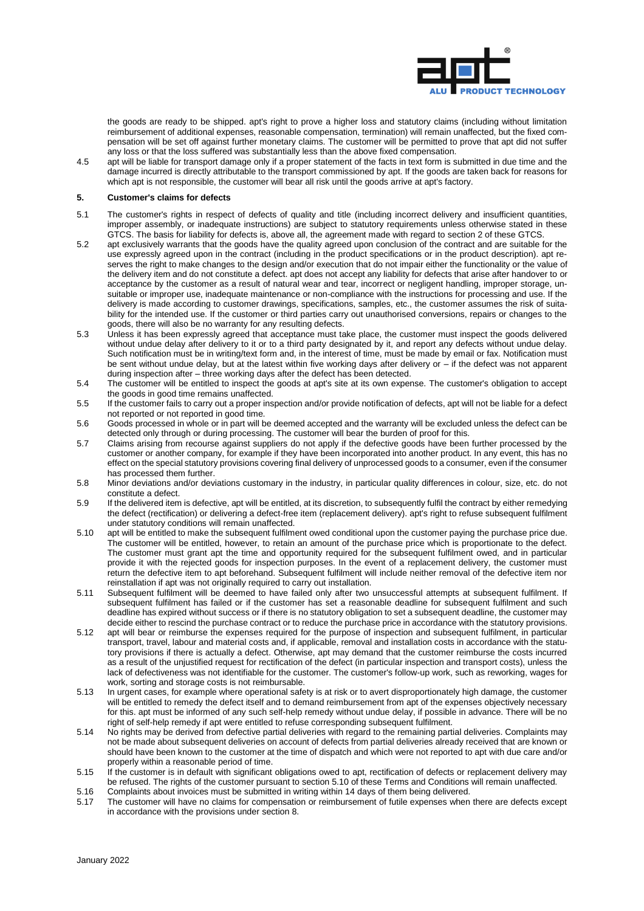

the goods are ready to be shipped. apt's right to prove a higher loss and statutory claims (including without limitation reimbursement of additional expenses, reasonable compensation, termination) will remain unaffected, but the fixed compensation will be set off against further monetary claims. The customer will be permitted to prove that apt did not suffer any loss or that the loss suffered was substantially less than the above fixed compensation.

4.5 apt will be liable for transport damage only if a proper statement of the facts in text form is submitted in due time and the damage incurred is directly attributable to the transport commissioned by apt. If the goods are taken back for reasons for which apt is not responsible, the customer will bear all risk until the goods arrive at apt's factory.

# <span id="page-1-1"></span>**5. Customer's claims for defects**

- 5.1 The customer's rights in respect of defects of quality and title (including incorrect delivery and insufficient quantities, improper assembly, or inadequate instructions) are subject to statutory requirements unless otherwise stated in these GTCS. The basis for liability for defects is, above all, the agreement made with regard to section [2](#page-0-0) of these GTCS.
- 5.2 apt exclusively warrants that the goods have the quality agreed upon conclusion of the contract and are suitable for the use expressly agreed upon in the contract (including in the product specifications or in the product description). apt reserves the right to make changes to the design and/or execution that do not impair either the functionality or the value of the delivery item and do not constitute a defect. apt does not accept any liability for defects that arise after handover to or acceptance by the customer as a result of natural wear and tear, incorrect or negligent handling, improper storage, unsuitable or improper use, inadequate maintenance or non-compliance with the instructions for processing and use. If the delivery is made according to customer drawings, specifications, samples, etc., the customer assumes the risk of suitability for the intended use. If the customer or third parties carry out unauthorised conversions, repairs or changes to the goods, there will also be no warranty for any resulting defects.
- 5.3 Unless it has been expressly agreed that acceptance must take place, the customer must inspect the goods delivered without undue delay after delivery to it or to a third party designated by it, and report any defects without undue delay. Such notification must be in writing/text form and, in the interest of time, must be made by email or fax. Notification must be sent without undue delay, but at the latest within five working days after delivery or – if the defect was not apparent during inspection after – three working days after the defect has been detected.
- 5.4 The customer will be entitled to inspect the goods at apt's site at its own expense. The customer's obligation to accept the goods in good time remains unaffected.
- 5.5 If the customer fails to carry out a proper inspection and/or provide notification of defects, apt will not be liable for a defect not reported or not reported in good time.
- 5.6 Goods processed in whole or in part will be deemed accepted and the warranty will be excluded unless the defect can be detected only through or during processing. The customer will bear the burden of proof for this.
- 5.7 Claims arising from recourse against suppliers do not apply if the defective goods have been further processed by the customer or another company, for example if they have been incorporated into another product. In any event, this has no effect on the special statutory provisions covering final delivery of unprocessed goods to a consumer, even if the consumer has processed them further.
- 5.8 Minor deviations and/or deviations customary in the industry, in particular quality differences in colour, size, etc. do not constitute a defect.
- 5.9 If the delivered item is defective, apt will be entitled, at its discretion, to subsequently fulfil the contract by either remedying the defect (rectification) or delivering a defect-free item (replacement delivery). apt's right to refuse subsequent fulfilment under statutory conditions will remain unaffected.
- <span id="page-1-0"></span>5.10 apt will be entitled to make the subsequent fulfilment owed conditional upon the customer paying the purchase price due. The customer will be entitled, however, to retain an amount of the purchase price which is proportionate to the defect. The customer must grant apt the time and opportunity required for the subsequent fulfilment owed, and in particular provide it with the rejected goods for inspection purposes. In the event of a replacement delivery, the customer must return the defective item to apt beforehand. Subsequent fulfilment will include neither removal of the defective item nor reinstallation if apt was not originally required to carry out installation.
- 5.11 Subsequent fulfilment will be deemed to have failed only after two unsuccessful attempts at subsequent fulfilment. If subsequent fulfilment has failed or if the customer has set a reasonable deadline for subsequent fulfilment and such deadline has expired without success or if there is no statutory obligation to set a subsequent deadline, the customer may decide either to rescind the purchase contract or to reduce the purchase price in accordance with the statutory provisions.
- 5.12 apt will bear or reimburse the expenses required for the purpose of inspection and subsequent fulfilment, in particular transport, travel, labour and material costs and, if applicable, removal and installation costs in accordance with the statutory provisions if there is actually a defect. Otherwise, apt may demand that the customer reimburse the costs incurred as a result of the unjustified request for rectification of the defect (in particular inspection and transport costs), unless the lack of defectiveness was not identifiable for the customer. The customer's follow-up work, such as reworking, wages for work, sorting and storage costs is not reimbursable.
- 5.13 In urgent cases, for example where operational safety is at risk or to avert disproportionately high damage, the customer will be entitled to remedy the defect itself and to demand reimbursement from apt of the expenses objectively necessary for this. apt must be informed of any such self-help remedy without undue delay, if possible in advance. There will be no right of self-help remedy if apt were entitled to refuse corresponding subsequent fulfilment.
- 5.14 No rights may be derived from defective partial deliveries with regard to the remaining partial deliveries. Complaints may not be made about subsequent deliveries on account of defects from partial deliveries already received that are known or should have been known to the customer at the time of dispatch and which were not reported to apt with due care and/or properly within a reasonable period of time.
- 5.15 If the customer is in default with significant obligations owed to apt, rectification of defects or replacement delivery may be refused. The rights of the customer pursuant to sectio[n 5.10](#page-1-0) of these Terms and Conditions will remain unaffected.
- 5.16 Complaints about invoices must be submitted in writing within 14 days of them being delivered.<br>5.17 The customer will have no claims for compensation or reimbursement of futile expenses when
- The customer will have no claims for compensation or reimbursement of futile expenses when there are defects except in accordance with the provisions under sectio[n 8.](#page-2-0)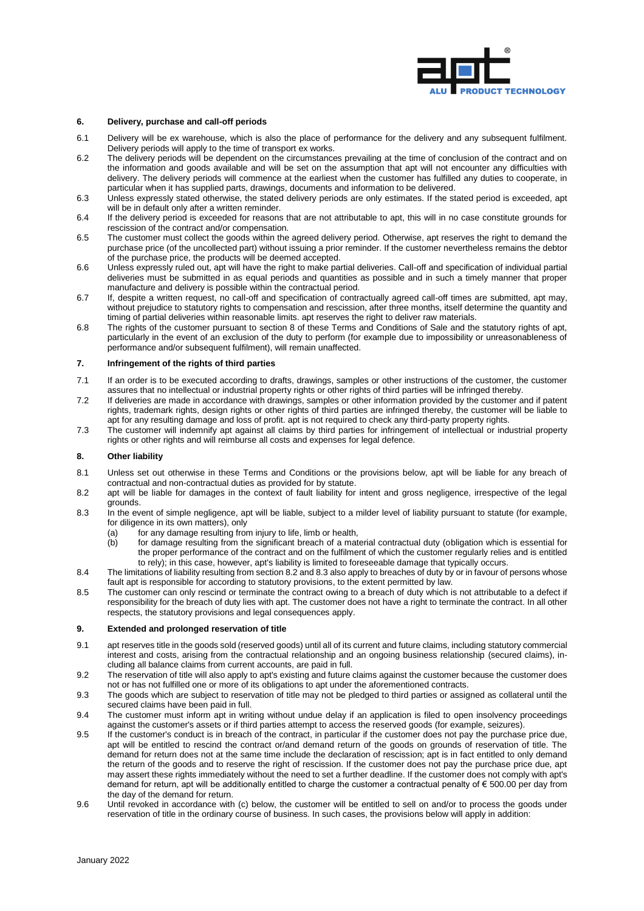

#### **6. Delivery, purchase and call-off periods**

- 6.1 Delivery will be ex warehouse, which is also the place of performance for the delivery and any subsequent fulfilment. Delivery periods will apply to the time of transport ex works.
- 6.2 The delivery periods will be dependent on the circumstances prevailing at the time of conclusion of the contract and on the information and goods available and will be set on the assumption that apt will not encounter any difficulties with delivery. The delivery periods will commence at the earliest when the customer has fulfilled any duties to cooperate, in particular when it has supplied parts, drawings, documents and information to be delivered.
- 6.3 Unless expressly stated otherwise, the stated delivery periods are only estimates. If the stated period is exceeded, apt will be in default only after a written reminder.
- 6.4 If the delivery period is exceeded for reasons that are not attributable to apt, this will in no case constitute grounds for rescission of the contract and/or compensation.
- 6.5 The customer must collect the goods within the agreed delivery period. Otherwise, apt reserves the right to demand the purchase price (of the uncollected part) without issuing a prior reminder. If the customer nevertheless remains the debtor of the purchase price, the products will be deemed accepted.
- 6.6 Unless expressly ruled out, apt will have the right to make partial deliveries. Call-off and specification of individual partial deliveries must be submitted in as equal periods and quantities as possible and in such a timely manner that proper manufacture and delivery is possible within the contractual period.
- 6.7 If, despite a written request, no call-off and specification of contractually agreed call-off times are submitted, apt may, without prejudice to statutory rights to compensation and rescission, after three months, itself determine the quantity and timing of partial deliveries within reasonable limits. apt reserves the right to deliver raw materials.
- 6.8 The rights of the customer pursuant to section 8 of these Terms and Conditions of Sale and the statutory rights of apt, particularly in the event of an exclusion of the duty to perform (for example due to impossibility or unreasonableness of performance and/or subsequent fulfilment), will remain unaffected.

# **7. Infringement of the rights of third parties**

- 7.1 If an order is to be executed according to drafts, drawings, samples or other instructions of the customer, the customer assures that no intellectual or industrial property rights or other rights of third parties will be infringed thereby.
- 7.2 If deliveries are made in accordance with drawings, samples or other information provided by the customer and if patent rights, trademark rights, design rights or other rights of third parties are infringed thereby, the customer will be liable to apt for any resulting damage and loss of profit. apt is not required to check any third-party property rights.
- 7.3 The customer will indemnify apt against all claims by third parties for infringement of intellectual or industrial property rights or other rights and will reimburse all costs and expenses for legal defence.

# <span id="page-2-0"></span>**8. Other liability**

- 8.1 Unless set out otherwise in these Terms and Conditions or the provisions below, apt will be liable for any breach of contractual and non-contractual duties as provided for by statute.
- <span id="page-2-1"></span>8.2 apt will be liable for damages in the context of fault liability for intent and gross negligence, irrespective of the legal grounds.
- <span id="page-2-2"></span>8.3 In the event of simple negligence, apt will be liable, subject to a milder level of liability pursuant to statute (for example, for diligence in its own matters), only
	- (a)  $\check{\phantom{\phi}}$  for any damage resulting from injury to life, limb or health,
	- (b) for damage resulting from the significant breach of a material contractual duty (obligation which is essential for the proper performance of the contract and on the fulfilment of which the customer regularly relies and is entitled to rely); in this case, however, apt's liability is limited to foreseeable damage that typically occurs.
- 8.4 The limitations of liability resulting from sectio[n 8.2](#page-2-1) an[d 8.3](#page-2-2) also apply to breaches of duty by or in favour of persons whose fault apt is responsible for according to statutory provisions, to the extent permitted by law.
- 8.5 The customer can only rescind or terminate the contract owing to a breach of duty which is not attributable to a defect if responsibility for the breach of duty lies with apt. The customer does not have a right to terminate the contract. In all other respects, the statutory provisions and legal consequences apply.

#### **9. Extended and prolonged reservation of title**

- 9.1 apt reserves title in the goods sold (reserved goods) until all of its current and future claims, including statutory commercial interest and costs, arising from the contractual relationship and an ongoing business relationship (secured claims), including all balance claims from current accounts, are paid in full.
- 9.2 The reservation of title will also apply to apt's existing and future claims against the customer because the customer does not or has not fulfilled one or more of its obligations to apt under the aforementioned contracts.
- <span id="page-2-3"></span>9.3 The goods which are subject to reservation of title may not be pledged to third parties or assigned as collateral until the secured claims have been paid in full.
- 9.4 The customer must inform apt in writing without undue delay if an application is filed to open insolvency proceedings against the customer's assets or if third parties attempt to access the reserved goods (for example, seizures).
- <span id="page-2-4"></span>9.5 If the customer's conduct is in breach of the contract, in particular if the customer does not pay the purchase price due, apt will be entitled to rescind the contract or/and demand return of the goods on grounds of reservation of title. The demand for return does not at the same time include the declaration of rescission; apt is in fact entitled to only demand the return of the goods and to reserve the right of rescission. If the customer does not pay the purchase price due, apt may assert these rights immediately without the need to set a further deadline. If the customer does not comply with apt's demand for return, apt will be additionally entitled to charge the customer a contractual penalty of € 500.00 per day from the day of the demand for return.
- 9.6 Until revoked in accordance with [\(c\)](#page-3-0) below, the customer will be entitled to sell on and/or to process the goods under reservation of title in the ordinary course of business. In such cases, the provisions below will apply in addition: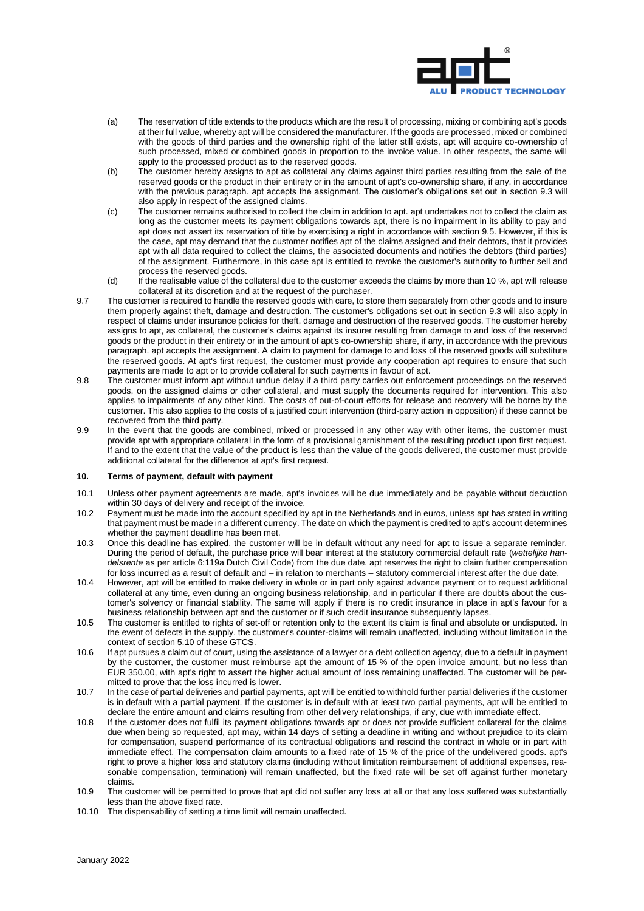

- (a) The reservation of title extends to the products which are the result of processing, mixing or combining apt's goods at their full value, whereby apt will be considered the manufacturer. If the goods are processed, mixed or combined with the goods of third parties and the ownership right of the latter still exists, apt will acquire co-ownership of such processed, mixed or combined goods in proportion to the invoice value. In other respects, the same will apply to the processed product as to the reserved goods.
- (b) The customer hereby assigns to apt as collateral any claims against third parties resulting from the sale of the reserved goods or the product in their entirety or in the amount of apt's co-ownership share, if any, in accordance with the previous paragraph. apt accepts the assignment. The customer's obligations set out in section [9.3](#page-2-3) will also apply in respect of the assigned claims.
- <span id="page-3-0"></span>(c) The customer remains authorised to collect the claim in addition to apt. apt undertakes not to collect the claim as long as the customer meets its payment obligations towards apt, there is no impairment in its ability to pay and apt does not assert its reservation of title by exercising a right in accordance with sectio[n 9.5.](#page-2-4) However, if this is the case, apt may demand that the customer notifies apt of the claims assigned and their debtors, that it provides apt with all data required to collect the claims, the associated documents and notifies the debtors (third parties) of the assignment. Furthermore, in this case apt is entitled to revoke the customer's authority to further sell and process the reserved goods.
- (d) If the realisable value of the collateral due to the customer exceeds the claims by more than 10 %, apt will release collateral at its discretion and at the request of the purchaser.
- 9.7 The customer is required to handle the reserved goods with care, to store them separately from other goods and to insure them properly against theft, damage and destruction. The customer's obligations set out in section [9.3](#page-2-3) will also apply in respect of claims under insurance policies for theft, damage and destruction of the reserved goods. The customer hereby assigns to apt, as collateral, the customer's claims against its insurer resulting from damage to and loss of the reserved goods or the product in their entirety or in the amount of apt's co-ownership share, if any, in accordance with the previous paragraph. apt accepts the assignment. A claim to payment for damage to and loss of the reserved goods will substitute the reserved goods. At apt's first request, the customer must provide any cooperation apt requires to ensure that such payments are made to apt or to provide collateral for such payments in favour of apt.
- 9.8 The customer must inform apt without undue delay if a third party carries out enforcement proceedings on the reserved goods, on the assigned claims or other collateral, and must supply the documents required for intervention. This also applies to impairments of any other kind. The costs of out-of-court efforts for release and recovery will be borne by the customer. This also applies to the costs of a justified court intervention (third-party action in opposition) if these cannot be recovered from the third party.
- 9.9 In the event that the goods are combined, mixed or processed in any other way with other items, the customer must provide apt with appropriate collateral in the form of a provisional garnishment of the resulting product upon first request. If and to the extent that the value of the product is less than the value of the goods delivered, the customer must provide additional collateral for the difference at apt's first request.

### **10. Terms of payment, default with payment**

- 10.1 Unless other payment agreements are made, apt's invoices will be due immediately and be payable without deduction within 30 days of delivery and receipt of the invoice.
- 10.2 Payment must be made into the account specified by apt in the Netherlands and in euros, unless apt has stated in writing that payment must be made in a different currency. The date on which the payment is credited to apt's account determines whether the payment deadline has been met.
- 10.3 Once this deadline has expired, the customer will be in default without any need for apt to issue a separate reminder. During the period of default, the purchase price will bear interest at the statutory commercial default rate (*wettelijke handelsrente* as per article 6:119a Dutch Civil Code) from the due date. apt reserves the right to claim further compensation for loss incurred as a result of default and – in relation to merchants – statutory commercial interest after the due date.
- 10.4 However, apt will be entitled to make delivery in whole or in part only against advance payment or to request additional collateral at any time, even during an ongoing business relationship, and in particular if there are doubts about the customer's solvency or financial stability. The same will apply if there is no credit insurance in place in apt's favour for a business relationship between apt and the customer or if such credit insurance subsequently lapses.
- 10.5 The customer is entitled to rights of set-off or retention only to the extent its claim is final and absolute or undisputed. In the event of defects in the supply, the customer's counter-claims will remain unaffected, including without limitation in the context of section [5.](#page-1-1)10 of these GTCS.
- 10.6 If apt pursues a claim out of court, using the assistance of a lawyer or a debt collection agency, due to a default in payment by the customer, the customer must reimburse apt the amount of 15 % of the open invoice amount, but no less than EUR 350.00, with apt's right to assert the higher actual amount of loss remaining unaffected. The customer will be permitted to prove that the loss incurred is lower.
- 10.7 In the case of partial deliveries and partial payments, apt will be entitled to withhold further partial deliveries if the customer is in default with a partial payment. If the customer is in default with at least two partial payments, apt will be entitled to declare the entire amount and claims resulting from other delivery relationships, if any, due with immediate effect.
- 10.8 If the customer does not fulfil its payment obligations towards apt or does not provide sufficient collateral for the claims due when being so requested, apt may, within 14 days of setting a deadline in writing and without prejudice to its claim for compensation, suspend performance of its contractual obligations and rescind the contract in whole or in part with immediate effect. The compensation claim amounts to a fixed rate of 15 % of the price of the undelivered goods. apt's right to prove a higher loss and statutory claims (including without limitation reimbursement of additional expenses, reasonable compensation, termination) will remain unaffected, but the fixed rate will be set off against further monetary claims.
- 10.9 The customer will be permitted to prove that apt did not suffer any loss at all or that any loss suffered was substantially less than the above fixed rate.
- <span id="page-3-1"></span>10.10 The dispensability of setting a time limit will remain unaffected.